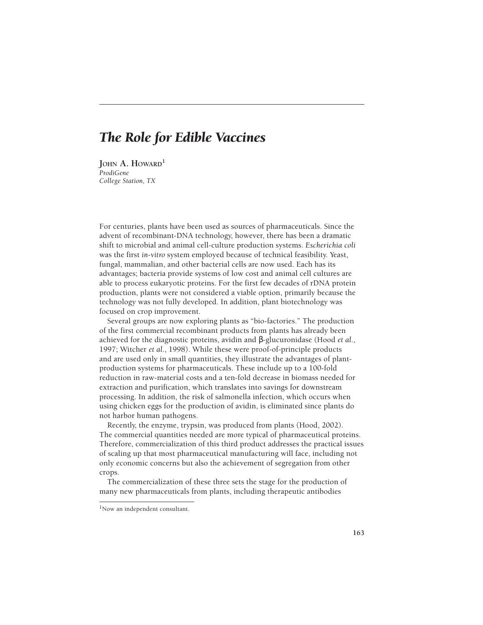# *The Role for Edible Vaccines*

**JOHN A. HOWARD**<sup>1</sup> *ProdiGene College Station, TX*

For centuries, plants have been used as sources of pharmaceuticals. Since the advent of recombinant-DNA technology, however, there has been a dramatic shift to microbial and animal cell-culture production systems. *Escherichia coli* was the first *in-vitro* system employed because of technical feasibility. Yeast, fungal, mammalian, and other bacterial cells are now used. Each has its advantages; bacteria provide systems of low cost and animal cell cultures are able to process eukaryotic proteins. For the first few decades of rDNA protein production, plants were not considered a viable option, primarily because the technology was not fully developed. In addition, plant biotechnology was focused on crop improvement.

Several groups are now exploring plants as "bio-factories." The production of the first commercial recombinant products from plants has already been achieved for the diagnostic proteins, avidin and β-glucuronidase (Hood *et al*., 1997; Witcher *et al*., 1998). While these were proof-of-principle products and are used only in small quantities, they illustrate the advantages of plantproduction systems for pharmaceuticals. These include up to a 100-fold reduction in raw-material costs and a ten-fold decrease in biomass needed for extraction and purification, which translates into savings for downstream processing. In addition, the risk of salmonella infection, which occurs when using chicken eggs for the production of avidin, is eliminated since plants do not harbor human pathogens.

Recently, the enzyme, trypsin, was produced from plants (Hood, 2002). The commercial quantities needed are more typical of pharmaceutical proteins. Therefore, commercialization of this third product addresses the practical issues of scaling up that most pharmaceutical manufacturing will face, including not only economic concerns but also the achievement of segregation from other crops.

The commercialization of these three sets the stage for the production of many new pharmaceuticals from plants, including therapeutic antibodies

<sup>&</sup>lt;sup>1</sup>Now an independent consultant.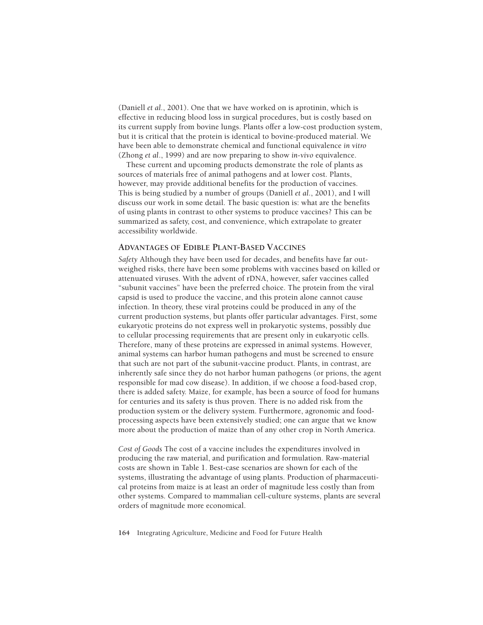(Daniell *et al.*, 2001). One that we have worked on is aprotinin, which is effective in reducing blood loss in surgical procedures, but is costly based on its current supply from bovine lungs. Plants offer a low-cost production system, but it is critical that the protein is identical to bovine-produced material. We have been able to demonstrate chemical and functional equivalence *in vitro* (Zhong *et al*., 1999) and are now preparing to show *in-vivo* equivalence.

These current and upcoming products demonstrate the role of plants as sources of materials free of animal pathogens and at lower cost. Plants, however, may provide additional benefits for the production of vaccines. This is being studied by a number of groups (Daniell *et al.*, 2001), and I will discuss our work in some detail. The basic question is: what are the benefits of using plants in contrast to other systems to produce vaccines? This can be summarized as safety, cost, and convenience, which extrapolate to greater accessibility worldwide.

## **ADVANTAGES OF EDIBLE PLANT-BASED VACCINES**

*Safety* Although they have been used for decades, and benefits have far outweighed risks, there have been some problems with vaccines based on killed or attenuated viruses. With the advent of rDNA, however, safer vaccines called "subunit vaccines" have been the preferred choice. The protein from the viral capsid is used to produce the vaccine, and this protein alone cannot cause infection. In theory, these viral proteins could be produced in any of the current production systems, but plants offer particular advantages. First, some eukaryotic proteins do not express well in prokaryotic systems, possibly due to cellular processing requirements that are present only in eukaryotic cells. Therefore, many of these proteins are expressed in animal systems. However, animal systems can harbor human pathogens and must be screened to ensure that such are not part of the subunit-vaccine product. Plants, in contrast, are inherently safe since they do not harbor human pathogens (or prions, the agent responsible for mad cow disease). In addition, if we choose a food-based crop, there is added safety. Maize, for example, has been a source of food for humans for centuries and its safety is thus proven. There is no added risk from the production system or the delivery system. Furthermore, agronomic and foodprocessing aspects have been extensively studied; one can argue that we know more about the production of maize than of any other crop in North America.

*Cost of Goods* The cost of a vaccine includes the expenditures involved in producing the raw material, and purification and formulation. Raw-material costs are shown in Table 1. Best-case scenarios are shown for each of the systems, illustrating the advantage of using plants. Production of pharmaceutical proteins from maize is at least an order of magnitude less costly than from other systems. Compared to mammalian cell-culture systems, plants are several orders of magnitude more economical.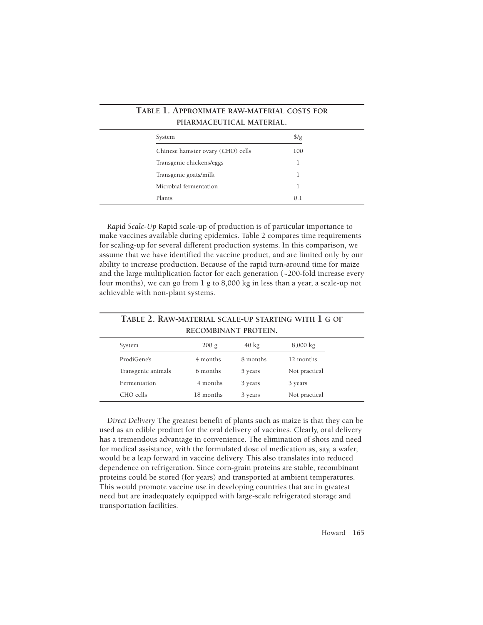| TABLE 1. APPROXIMATE RAW-MATERIAL COSTS FOR<br>PHARMACEUTICAL MATERIAL. |               |  |  |
|-------------------------------------------------------------------------|---------------|--|--|
| System                                                                  | $\frac{f}{g}$ |  |  |
| Chinese hamster ovary (CHO) cells                                       | 100           |  |  |
| Transgenic chickens/eggs                                                |               |  |  |
| Transgenic goats/milk                                                   |               |  |  |
| Microbial fermentation                                                  |               |  |  |
| Plants                                                                  | 0.1           |  |  |

*Rapid Scale-Up* Rapid scale-up of production is of particular importance to make vaccines available during epidemics. Table 2 compares time requirements for scaling-up for several different production systems. In this comparison, we assume that we have identified the vaccine product, and are limited only by our ability to increase production. Because of the rapid turn-around time for maize and the large multiplication factor for each generation (~200-fold increase every four months), we can go from 1 g to 8,000 kg in less than a year, a scale-up not achievable with non-plant systems.

| TABLE 2. RAW-MATERIAL SCALE-UP STARTING WITH 1 G OF |
|-----------------------------------------------------|
| RECOMBINANT PROTEIN.                                |

| System             | 200 g     | $40 \text{ kg}$ | $8,000 \text{ kg}$ |
|--------------------|-----------|-----------------|--------------------|
| ProdiGene's        | 4 months  | 8 months        | 12 months          |
| Transgenic animals | 6 months  | 5 years         | Not practical      |
| Fermentation       | 4 months  | 3 years         | 3 years            |
| CHO cells          | 18 months | 3 years         | Not practical      |

*Direct Delivery* The greatest benefit of plants such as maize is that they can be used as an edible product for the oral delivery of vaccines. Clearly, oral delivery has a tremendous advantage in convenience. The elimination of shots and need for medical assistance, with the formulated dose of medication as, say, a wafer, would be a leap forward in vaccine delivery. This also translates into reduced dependence on refrigeration. Since corn-grain proteins are stable, recombinant proteins could be stored (for years) and transported at ambient temperatures. This would promote vaccine use in developing countries that are in greatest need but are inadequately equipped with large-scale refrigerated storage and transportation facilities.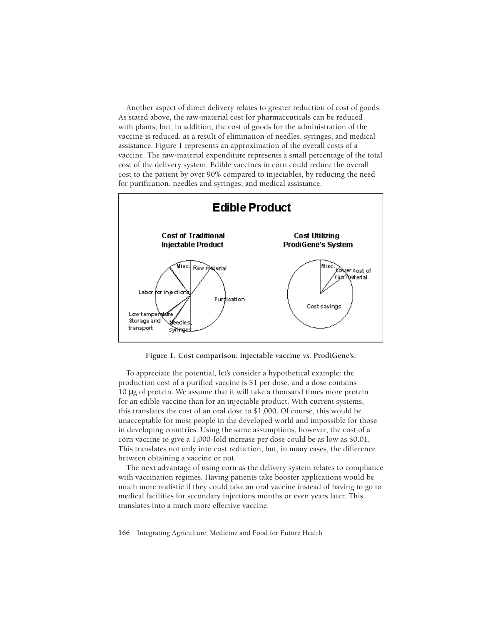Another aspect of direct delivery relates to greater reduction of cost of goods. As stated above, the raw-material cost for pharmaceuticals can be reduced with plants, but, in addition, the cost of goods for the administration of the vaccine is reduced, as a result of elimination of needles, syringes, and medical assistance. Figure 1 represents an approximation of the overall costs of a vaccine. The raw-material expenditure represents a small percentage of the total cost of the delivery system. Edible vaccines in corn could reduce the overall cost to the patient by over 90% compared to injectables, by reducing the need for purification, needles and syringes, and medical assistance.



**Figure 1. Cost comparison: injectable vaccine** *vs.* **ProdiGene's.**

To appreciate the potential, let's consider a hypothetical example: the production cost of a purified vaccine is \$1 per dose, and a dose contains 10 μg of protein. We assume that it will take a thousand times more protein for an edible vaccine than for an injectable product. With current systems, this translates the cost of an oral dose to \$1,000. Of course, this would be unacceptable for most people in the developed world and impossible for those in developing countries. Using the same assumptions, however, the cost of a corn vaccine to give a 1,000-fold increase per dose could be as low as \$0.01. This translates not only into cost reduction, but, in many cases, the difference between obtaining a vaccine or not.

The next advantage of using corn as the delivery system relates to compliance with vaccination regimes. Having patients take booster applications would be much more realistic if they could take an oral vaccine instead of having to go to medical facilities for secondary injections months or even years later. This translates into a much more effective vaccine.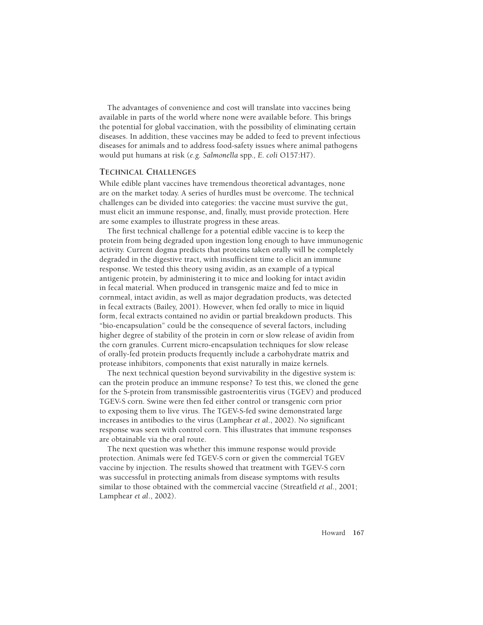The advantages of convenience and cost will translate into vaccines being available in parts of the world where none were available before. This brings the potential for global vaccination, with the possibility of eliminating certain diseases. In addition, these vaccines may be added to feed to prevent infectious diseases for animals and to address food-safety issues where animal pathogens would put humans at risk (*e.g. Salmonella* spp*., E. coli* O157:H7).

#### **TECHNICAL CHALLENGES**

While edible plant vaccines have tremendous theoretical advantages, none are␣ on the market today. A series of hurdles must be overcome. The technical challenges can be divided into categories: the vaccine must survive the gut, must elicit an immune response, and, finally, must provide protection. Here are some examples to illustrate progress in these areas.

The first technical challenge for a potential edible vaccine is to keep the protein from being degraded upon ingestion long enough to have immunogenic activity. Current dogma predicts that proteins taken orally will be completely degraded in the digestive tract, with insufficient time to elicit an immune response. We tested this theory using avidin, as an example of a typical antigenic protein, by administering it to mice and looking for intact avidin in fecal material. When produced in transgenic maize and fed to mice in cornmeal, intact avidin, as well as major degradation products, was detected in fecal extracts (Bailey, 2001). However, when fed orally to mice in liquid form, fecal extracts contained no avidin or partial breakdown products. This "bio-encapsulation" could be the consequence of several factors, including higher degree of stability of the protein in corn or slow release of avidin from the corn granules. Current micro-encapsulation techniques for slow release of orally-fed protein products frequently include a carbohydrate matrix and protease inhibitors, components that exist naturally in maize kernels.

The next technical question beyond survivability in the digestive system is: can the protein produce an immune response? To test this, we cloned the gene for the S-protein from transmissible gastroenteritis virus (TGEV) and produced TGEV-S corn. Swine were then fed either control or transgenic corn prior to exposing them to live virus. The TGEV-S-fed swine demonstrated large increases in antibodies to the virus (Lamphear *et al*., 2002). No significant response was seen with control corn. This illustrates that immune responses are obtainable via the oral route.

The next question was whether this immune response would provide protection. Animals were fed TGEV-S corn or given the commercial TGEV vaccine by injection. The results showed that treatment with TGEV-S corn was successful in protecting animals from disease symptoms with results similar to those obtained with the commercial vaccine (Streatfield *et al.*, 2001; Lamphear *et al*., 2002).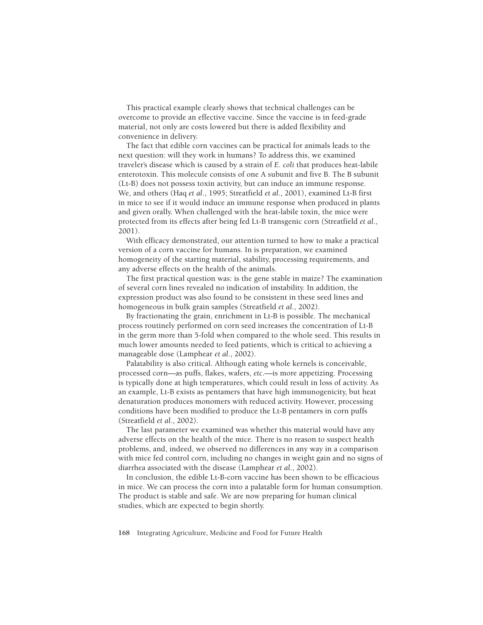This practical example clearly shows that technical challenges can be overcome to provide an effective vaccine. Since the vaccine is in feed-grade material, not only are costs lowered but there is added flexibility and convenience in delivery.

The fact that edible corn vaccines can be practical for animals leads to the next question: will they work in humans? To address this, we examined traveler's disease which is caused by a strain of *E. coli* that produces heat-labile enterotoxin. This molecule consists of one A subunit and five B. The B subunit (Lt-B) does not possess toxin activity, but can induce an immune response. We,␣ and others (Haq *et al*., 1995; Streatfield *et al*., 2001), examined Lt-B first in mice to see if it would induce an immune response when produced in plants and given orally. When challenged with the heat-labile toxin, the mice were protected from its effects after being fed Lt-B transgenic corn (Streatfield *et al*., 2001).

With efficacy demonstrated, our attention turned to how to make a practical version of a corn vaccine for humans. In is preparation, we examined homogeneity of the starting material, stability, processing requirements, and any adverse effects on the health of the animals.

The first practical question was: is the gene stable in maize? The examination of several corn lines revealed no indication of instability. In addition, the expression product was also found to be consistent in these seed lines and homogeneous in bulk grain samples (Streatfield *et al*., 2002).

By fractionating the grain, enrichment in Lt-B is possible. The mechanical process routinely performed on corn seed increases the concentration of Lt-B in the germ more than 5-fold when compared to the whole seed. This results in much lower amounts needed to feed patients, which is critical to achieving a manageable dose (Lamphear *et al.*, 2002).

Palatability is also critical. Although eating whole kernels is conceivable, processed corn—as puffs, flakes, wafers, *etc*.—is more appetizing. Processing is typically done at high temperatures, which could result in loss of activity. As an example, Lt-B exists as pentamers that have high immunogenicity, but heat denaturation produces monomers with reduced activity. However, processing conditions have been modified to produce the Lt-B pentamers in corn puffs (Streatfield *et al*., 2002).

The last parameter we examined was whether this material would have any adverse effects on the health of the mice. There is no reason to suspect health problems, and, indeed, we observed no differences in any way in a comparison with mice fed control corn, including no changes in weight gain and no signs of diarrhea associated with the disease (Lamphear *et al*., 2002).

In conclusion, the edible Lt-B-corn vaccine has been shown to be efficacious in mice. We can process the corn into a palatable form for human consumption. The product is stable and safe. We are now preparing for human clinical studies, which are expected to begin shortly.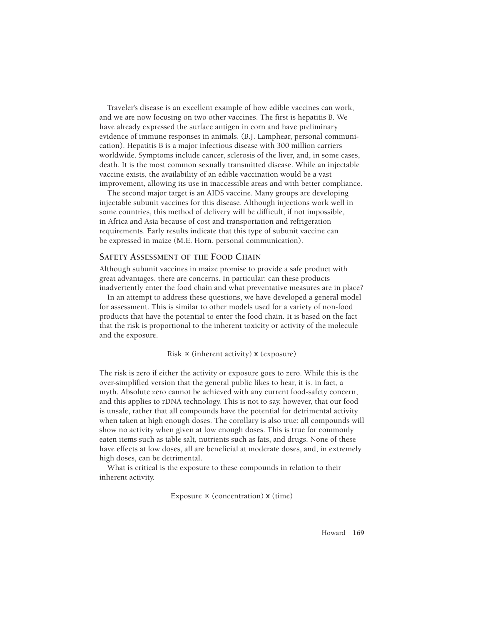Traveler's disease is an excellent example of how edible vaccines can work, and we are now focusing on two other vaccines. The first is hepatitis B. We have already expressed the surface antigen in corn and have preliminary evidence of immune responses in animals. (B.J. Lamphear, personal communication). Hepatitis B is a major infectious disease with 300 million carriers worldwide. Symptoms include cancer, sclerosis of the liver, and, in some cases, death. It is the most common sexually transmitted disease. While an injectable vaccine exists, the availability of an edible vaccination would be a vast improvement, allowing its use in inaccessible areas and with better compliance.

The second major target is an AIDS vaccine. Many groups are developing injectable subunit vaccines for this disease. Although injections work well in some countries, this method of delivery will be difficult, if not impossible, in Africa and Asia because of cost and transportation and refrigeration requirements. Early results indicate that this type of subunit vaccine can be expressed in maize (M.E. Horn, personal communication).

#### **SAFETY ASSESSMENT OF THE FOOD CHAIN**

Although subunit vaccines in maize promise to provide a safe product with great advantages, there are concerns. In particular: can these products inadvertently enter the food chain and what preventative measures are in place?

In an attempt to address these questions, we have developed a general model for assessment. This is similar to other models used for a variety of non-food products that have the potential to enter the food chain. It is based on the fact that the risk is proportional to the inherent toxicity or activity of the molecule and the exposure.

#### Risk  $\propto$  (inherent activity) **x** (exposure)

The risk is zero if either the activity or exposure goes to zero. While this is the over-simplified version that the general public likes to hear, it is, in fact, a myth. Absolute zero cannot be achieved with any current food-safety concern, and this applies to rDNA technology. This is not to say, however, that our food is unsafe, rather that all compounds have the potential for detrimental activity when taken at high enough doses. The corollary is also true; all compounds will show no activity when given at low enough doses. This is true for commonly eaten items such as table salt, nutrients such as fats, and drugs. None of these have effects at low doses, all are beneficial at moderate doses, and, in extremely high doses, can be detrimental.

What is critical is the exposure to these compounds in relation to their inherent activity.

Exposure  $\propto$  (concentration) **x** (time)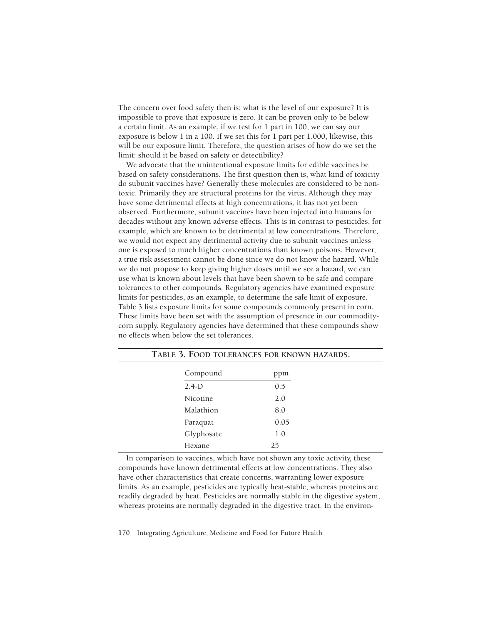The concern over food safety then is: what is the level of our exposure? It is impossible to prove that exposure is zero. It can be proven only to be below a␣ certain limit. As an example, if we test for 1 part in 100, we can say our exposure is below 1 in a 100. If we set this for 1 part per 1,000, likewise, this will be our exposure limit. Therefore, the question arises of how do we set the limit: should it be based on safety or detectibility?

We advocate that the unintentional exposure limits for edible vaccines be based on safety considerations. The first question then is, what kind of toxicity do subunit vaccines have? Generally these molecules are considered to be nontoxic. Primarily they are structural proteins for the virus. Although they may have some detrimental effects at high concentrations, it has not yet been observed. Furthermore, subunit vaccines have been injected into humans for decades without any known adverse effects. This is in contrast to pesticides, for example, which are known to be detrimental at low concentrations. Therefore, we would not expect any detrimental activity due to subunit vaccines unless one is exposed to much higher concentrations than known poisons. However, a true risk assessment cannot be done since we do not know the hazard. While we do not propose to keep giving higher doses until we see a hazard, we can use what is known about levels that have been shown to be safe and compare tolerances to other compounds. Regulatory agencies have examined exposure limits for pesticides, as an example, to determine the safe limit of exposure. Table 3 lists exposure limits for some compounds commonly present in corn. These limits have been set with the assumption of presence in our commoditycorn supply. Regulatory agencies have determined that these compounds show no effects when below the set tolerances.

|               | TABLE 3. FOOD TOLERANCES FOR KNOWN HAZARDS. |  |
|---------------|---------------------------------------------|--|
| Compound      | ppm                                         |  |
| $2,4-D$       | 0.5                                         |  |
| Nicotine      | 2.0                                         |  |
| Malathion     | 8.0                                         |  |
| Paraquat      | 0.05                                        |  |
| Glyphosate    | 1.0                                         |  |
| <b>Hexane</b> | 25                                          |  |

In comparison to vaccines, which have not shown any toxic activity, these compounds have known detrimental effects at low concentrations. They also have other characteristics that create concerns, warranting lower exposure limits. As an example, pesticides are typically heat-stable, whereas proteins are readily degraded by heat. Pesticides are normally stable in the digestive system, whereas proteins are normally degraded in the digestive tract. In the environ-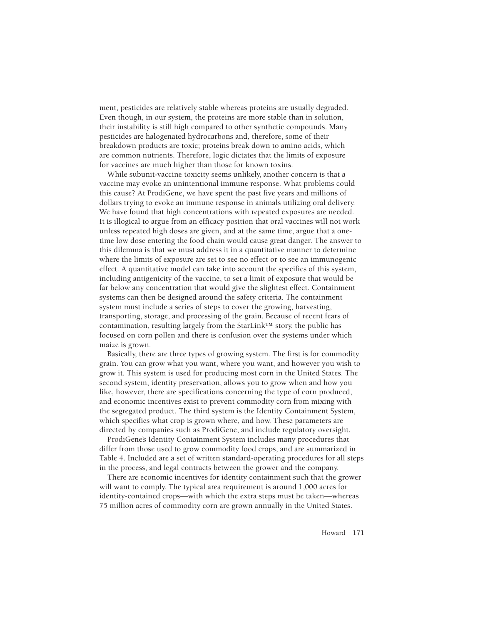ment, pesticides are relatively stable whereas proteins are usually degraded. Even though, in our system, the proteins are more stable than in solution, their instability is still high compared to other synthetic compounds. Many pesticides are halogenated hydrocarbons and, therefore, some of their breakdown products are toxic; proteins break down to amino acids, which are common nutrients. Therefore, logic dictates that the limits of exposure for vaccines are much higher than those for known toxins.

While subunit-vaccine toxicity seems unlikely, another concern is that a vaccine may evoke an unintentional immune response. What problems could this cause? At ProdiGene, we have spent the past five years and millions of dollars trying to evoke an immune response in animals utilizing oral delivery. We have found that high concentrations with repeated exposures are needed. It is illogical to argue from an efficacy position that oral vaccines will not work unless repeated high doses are given, and at the same time, argue that a onetime low dose entering the food chain would cause great danger. The answer to this dilemma is that we must address it in a quantitative manner to determine where the limits of exposure are set to see no effect or to see an immunogenic effect. A quantitative model can take into account the specifics of this system, including antigenicity of the vaccine, to set a limit of exposure that would be far below any concentration that would give the slightest effect. Containment systems can then be designed around the safety criteria. The containment system must include a series of steps to cover the growing, harvesting, transporting, storage, and processing of the grain. Because of recent fears of contamination, resulting largely from the StarLink™ story, the public has focused on corn pollen and there is confusion over the systems under which maize is grown.

Basically, there are three types of growing system. The first is for commodity grain. You can grow what you want, where you want, and however you wish to grow it. This system is used for producing most corn in the United States. The second system, identity preservation, allows you to grow when and how you like, however, there are specifications concerning the type of corn produced, and economic incentives exist to prevent commodity corn from mixing with the segregated product. The third system is the Identity Containment System, which specifies what crop is grown where, and how. These parameters are directed by companies such as ProdiGene, and include regulatory oversight.

ProdiGene's Identity Containment System includes many procedures that differ from those used to grow commodity food crops, and are summarized in Table 4. Included are a set of written standard-operating procedures for all steps in the process, and legal contracts between the grower and the company.

There are economic incentives for identity containment such that the grower will want to comply. The typical area requirement is around 1,000 acres for identity-contained crops—with which the extra steps must be taken—whereas 75 million acres of commodity corn are grown annually in the United States.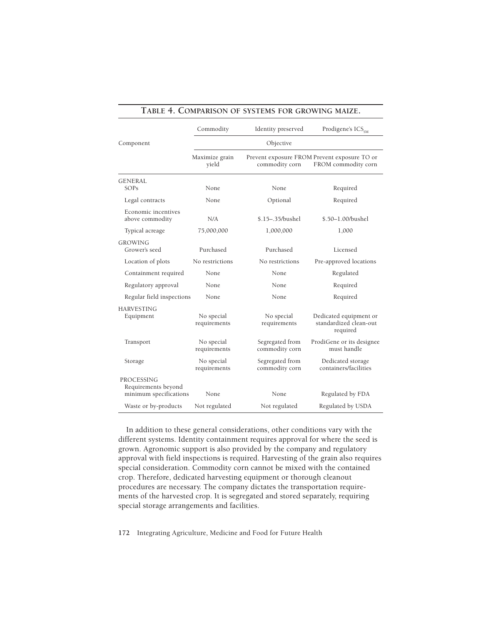|                                                             | Commodity                  | Identity preserved                | Prodigene's ICS <sub>SM</sub>                                       |  |
|-------------------------------------------------------------|----------------------------|-----------------------------------|---------------------------------------------------------------------|--|
| Component                                                   | Objective                  |                                   |                                                                     |  |
| Maximize grain<br>yield                                     |                            | commodity corn                    | Prevent exposure FROM Prevent exposure TO or<br>FROM commodity corn |  |
| <b>GENERAL</b>                                              |                            |                                   |                                                                     |  |
| SOPs                                                        | None                       | None                              | Required                                                            |  |
| Legal contracts                                             | None                       | Optional                          | Required                                                            |  |
| Economic incentives<br>above commodity                      | N/A                        | \$.15-.35/bushel                  | \$.50-1.00/bushel                                                   |  |
| Typical acreage                                             | 75,000,000                 | 1,000,000                         | 1,000                                                               |  |
| <b>GROWING</b><br>Grower's seed                             | Purchased                  | Purchased                         | Licensed                                                            |  |
| Location of plots                                           | No restrictions            | No restrictions                   | Pre-approved locations                                              |  |
| Containment required                                        | None                       | <b>None</b>                       | Regulated                                                           |  |
| Regulatory approval                                         | <b>None</b>                | <b>None</b>                       | Required                                                            |  |
| Regular field inspections                                   | None                       | None                              | Required                                                            |  |
| <b>HARVESTING</b><br>Equipment                              | No special<br>requirements | No special<br>requirements        | Dedicated equipment or<br>standardized clean-out<br>required        |  |
| Transport                                                   | No special<br>requirements | Segregated from<br>commodity corn | ProdiGene or its designee<br>must handle                            |  |
| Storage                                                     | No special<br>requirements | Segregated from<br>commodity corn | Dedicated storage<br>containers/facilities                          |  |
| PROCESSING<br>Requirements beyond<br>minimum specifications | None                       | None                              | Regulated by FDA                                                    |  |
| Waste or by-products                                        | Not regulated              | Not regulated                     | Regulated by USDA                                                   |  |

## **TABLE 4. COMPARISON OF SYSTEMS FOR GROWING MAIZE.**

In addition to these general considerations, other conditions vary with the different systems. Identity containment requires approval for where the seed is grown. Agronomic support is also provided by the company and regulatory approval with field inspections is required. Harvesting of the grain also requires special consideration. Commodity corn cannot be mixed with the contained crop. Therefore, dedicated harvesting equipment or thorough cleanout procedures are necessary. The company dictates the transportation requirements of the harvested crop. It is segregated and stored separately, requiring special storage arrangements and facilities.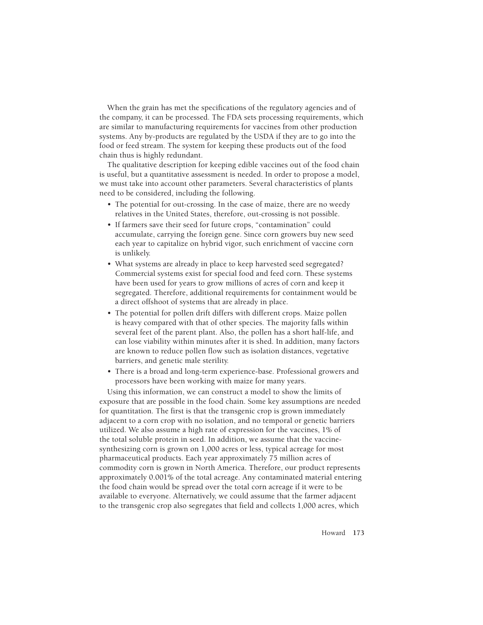When the grain has met the specifications of the regulatory agencies and of the company, it can be processed. The FDA sets processing requirements, which are similar to manufacturing requirements for vaccines from other production systems. Any by-products are regulated by the USDA if they are to go into the food or feed stream. The system for keeping these products out of the food chain thus is highly redundant.

The qualitative description for keeping edible vaccines out of the food chain is useful, but a quantitative assessment is needed. In order to propose a model, we must take into account other parameters. Several characteristics of plants need to be considered, including the following.

- The potential for out-crossing. In the case of maize, there are no weedy relatives in the United States, therefore, out-crossing is not possible.
- If farmers save their seed for future crops, "contamination" could accumulate, carrying the foreign gene. Since corn growers buy new seed each year to capitalize on hybrid vigor, such enrichment of vaccine corn is unlikely.
- What systems are already in place to keep harvested seed segregated? Commercial systems exist for special food and feed corn. These systems have been used for years to grow millions of acres of corn and keep it segregated. Therefore, additional requirements for containment would be a direct offshoot of systems that are already in place.
- The potential for pollen drift differs with different crops. Maize pollen is heavy compared with that of other species. The majority falls within several feet of the parent plant. Also, the pollen has a short half-life, and can lose viability within minutes after it is shed. In addition, many factors are known to reduce pollen flow such as isolation distances, vegetative barriers, and genetic male sterility.
- There is a broad and long-term experience-base. Professional growers and processors have been working with maize for many years.

Using this information, we can construct a model to show the limits of exposure that are possible in the food chain. Some key assumptions are needed for quantitation. The first is that the transgenic crop is grown immediately adjacent to a corn crop with no isolation, and no temporal or genetic barriers utilized. We also assume a high rate of expression for the vaccines, 1% of the total soluble protein in seed. In addition, we assume that the vaccinesynthesizing corn is grown on 1,000 acres or less, typical acreage for most pharmaceutical products. Each year approximately 75 million acres of commodity corn is grown in North America. Therefore, our product represents approximately 0.001% of the total acreage. Any contaminated material entering the food chain would be spread over the total corn acreage if it were to be available to everyone. Alternatively, we could assume that the farmer adjacent to the transgenic crop also segregates that field and collects 1,000 acres, which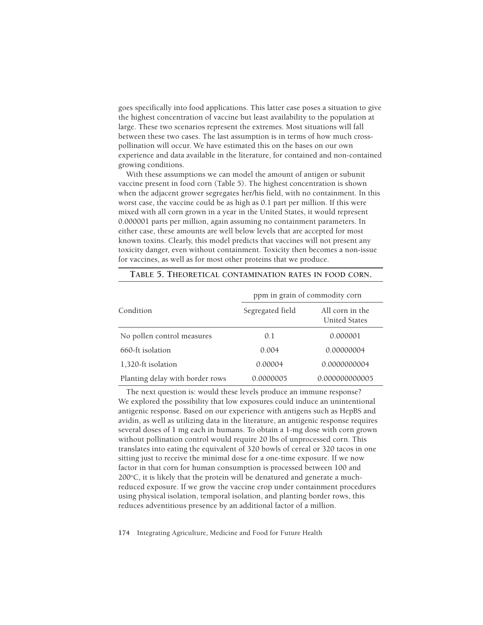goes specifically into food applications. This latter case poses a situation to give the highest concentration of vaccine but least availability to the population at large. These two scenarios represent the extremes. Most situations will fall between these two cases. The last assumption is in terms of how much crosspollination will occur. We have estimated this on the bases on our own experience and data available in the literature, for contained and non-contained growing conditions.

With these assumptions we can model the amount of antigen or subunit vaccine present in food corn (Table 5). The highest concentration is shown when the adjacent grower segregates her/his field, with no containment. In this worst case, the vaccine could be as high as 0.1 part per million. If this were mixed with all corn grown in a year in the United States, it would represent 0.000001 parts per million, again assuming no containment parameters. In either case, these amounts are well below levels that are accepted for most known toxins. Clearly, this model predicts that vaccines will not present any toxicity danger, even without containment. Toxicity then becomes a non-issue for vaccines, as well as for most other proteins that we produce.

|                                 | ppm in grain of commodity corn |                                         |
|---------------------------------|--------------------------------|-----------------------------------------|
| Condition                       | Segregated field               | All corn in the<br><b>United States</b> |
| No pollen control measures      | 0.1                            | 0.000001                                |
| 660-ft isolation                | 0.004                          | 0.00000004                              |
| 1,320-ft isolation              | 0.00004                        | 0.0000000004                            |
| Planting delay with border rows | 0.0000005                      | 0.000000000005                          |

# **TABLE 5. THEORETICAL CONTAMINATION RATES IN FOOD CORN.**

The next question is: would these levels produce an immune response? We explored the possibility that low exposures could induce an unintentional antigenic response. Based on our experience with antigens such as HepBS and avidin, as well as utilizing data in the literature, an antigenic response requires several doses of 1 mg each in humans. To obtain a 1-mg dose with corn grown without pollination control would require 20 lbs of unprocessed corn. This translates into eating the equivalent of 320 bowls of cereal or 320 tacos in one sitting just to receive the minimal dose for a one-time exposure. If we now factor in that corn for human consumption is processed between 100 and  $200^{\circ}$ C, it is likely that the protein will be denatured and generate a muchreduced exposure. If we grow the vaccine crop under containment procedures using physical isolation, temporal isolation, and planting border rows, this reduces adventitious presence by an additional factor of a million.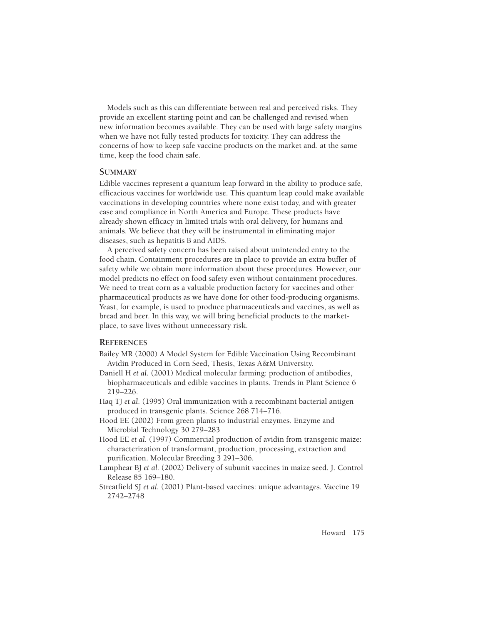Models such as this can differentiate between real and perceived risks. They provide an excellent starting point and can be challenged and revised when new information becomes available. They can be used with large safety margins when we have not fully tested products for toxicity. They can address the concerns of how to keep safe vaccine products on the market and, at the same time, keep the food chain safe.

## **SUMMARY**

Edible vaccines represent a quantum leap forward in the ability to produce safe, efficacious vaccines for worldwide use. This quantum leap could make available vaccinations in developing countries where none exist today, and with greater ease and compliance in North America and Europe. These products have already shown efficacy in limited trials with oral delivery, for humans and animals. We believe that they will be instrumental in eliminating major diseases, such as hepatitis B and AIDS.

A perceived safety concern has been raised about unintended entry to the food chain. Containment procedures are in place to provide an extra buffer of safety while we obtain more information about these procedures. However, our model predicts no effect on food safety even without containment procedures. We need to treat corn as a valuable production factory for vaccines and other pharmaceutical products as we have done for other food-producing organisms. Yeast, for example, is used to produce pharmaceuticals and vaccines, as well as bread and beer. In this way, we will bring beneficial products to the marketplace, to save lives without unnecessary risk.

## **REFERENCES**

- Bailey MR (2000) A Model System for Edible Vaccination Using Recombinant Avidin Produced in Corn Seed, Thesis, Texas A&M University.
- Daniell H *et al.* (2001) Medical molecular farming: production of antibodies, biopharmaceuticals and edible vaccines in plants. Trends in Plant Science 6 219–226.
- Haq TJ *et al.* (1995) Oral immunization with a recombinant bacterial antigen produced in transgenic plants. Science 268 714–716.
- Hood EE (2002) From green plants to industrial enzymes. Enzyme and Microbial Technology 30 279–283
- Hood EE *et al.* (1997) Commercial production of avidin from transgenic maize: characterization of transformant, production, processing, extraction and purification. Molecular Breeding 3 291–306.
- Lamphear BJ *et al.* (2002) Delivery of subunit vaccines in maize seed. J. Control Release 85 169–180.
- Streatfield SJ *et al.* (2001) Plant-based vaccines: unique advantages. Vaccine 19 2742–2748